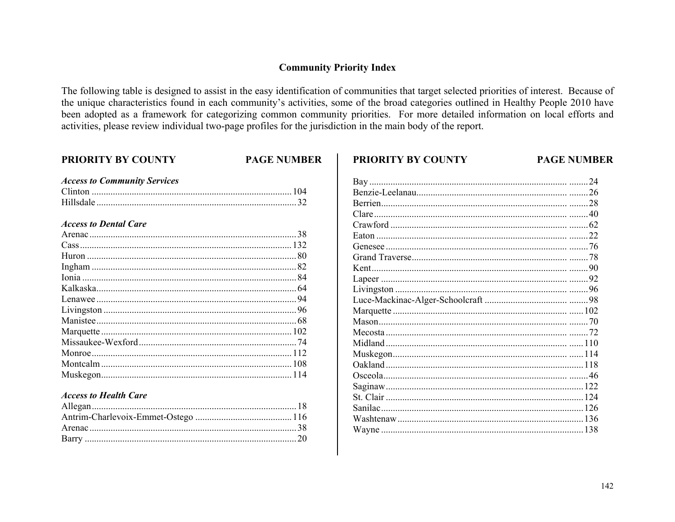## **Community Priority Index**

The following table is designed to assist in the easy identification of communities that target selected priorities of interest. Because of the unique characteristics found in each community's activities, some of the broad categories outlined in Healthy People 2010 have been adopted as a framework for categorizing common community priorities. For more detailed information on local efforts and activities, please review individual two-page profiles for the jurisdiction in the main body of the report.

**PRIORITY BY COUNTY** 

#### **PRIORITY BY COUNTY**

#### **PAGE NUMBER**

| <b>Access to Community Services</b> |  |
|-------------------------------------|--|
|                                     |  |
|                                     |  |
|                                     |  |

#### **Access to Dental Care**

#### **Access to Health Care**

| 24 |
|----|
|    |
|    |
|    |
|    |
|    |
|    |
|    |
|    |
|    |
|    |
|    |
|    |
|    |
|    |
|    |
|    |
|    |
|    |
|    |
|    |
|    |
|    |
|    |
|    |

**PAGE NUMBER**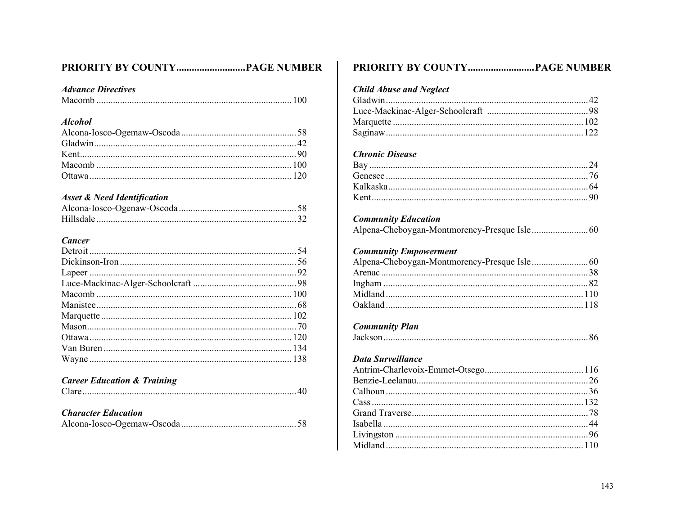# 

### **Advance Directives**

|--|--|--|--|--|

#### **Alcohol**

## **Asset & Need Identification**

## **Cancer**

### **Career Education & Training**

| <b>Character Education</b> |  |
|----------------------------|--|
|                            |  |

| PRIORITY BY COUNTY………………………PAGE NUMBER |  |
|----------------------------------------|--|
| <b>Child Abuse and Neglect</b>         |  |
|                                        |  |
|                                        |  |
|                                        |  |
|                                        |  |
| <b>Chronic Disease</b>                 |  |
|                                        |  |
|                                        |  |
|                                        |  |
|                                        |  |
| <b>Community Education</b>             |  |
|                                        |  |
| <b>Community Empowerment</b>           |  |
|                                        |  |
|                                        |  |
|                                        |  |
|                                        |  |
| <b>Community Plan</b>                  |  |
|                                        |  |
| Data Surveillance                      |  |
|                                        |  |
|                                        |  |
|                                        |  |
|                                        |  |
|                                        |  |
|                                        |  |
|                                        |  |
|                                        |  |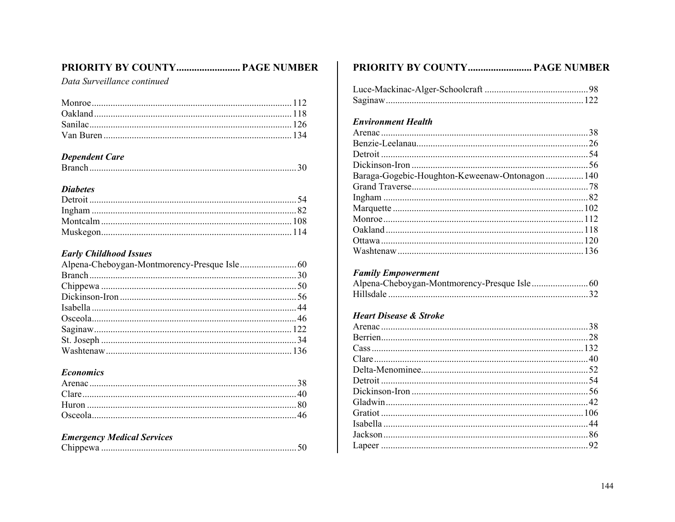# PRIORITY BY COUNTY................................. PAGE NUMBER

Data Surveillance continued

#### **Dependent Care**

### **Diabetes**

## **Early Childhood Issues**

#### **Economics**

| <b>Emergency Medical Services</b> |  |
|-----------------------------------|--|
|                                   |  |

| PRIORITY BY COUNTY PAGE NUMBER                  |  |
|-------------------------------------------------|--|
|                                                 |  |
|                                                 |  |
|                                                 |  |
| <b>Environment Health</b>                       |  |
|                                                 |  |
|                                                 |  |
|                                                 |  |
|                                                 |  |
| Baraga-Gogebic-Houghton-Keweenaw-Ontonagon  140 |  |
|                                                 |  |
|                                                 |  |
|                                                 |  |
|                                                 |  |
|                                                 |  |
|                                                 |  |
|                                                 |  |
| <b>Family Empowerment</b>                       |  |
|                                                 |  |
|                                                 |  |
| <b>Heart Disease &amp; Stroke</b>               |  |
|                                                 |  |
|                                                 |  |
|                                                 |  |
|                                                 |  |
|                                                 |  |
|                                                 |  |
|                                                 |  |
|                                                 |  |
|                                                 |  |
|                                                 |  |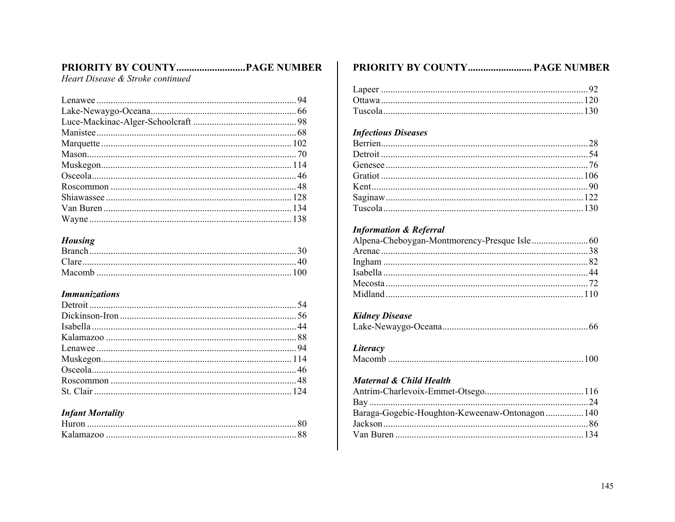# 

Heart Disease & Stroke continued

#### **Housing**

#### **Immunizations**

### **Infant Mortality**

### PRIORITY BY COUNTY................................ PAGE NUMBER

### **Infectious Diseases**

## **Information & Referral**

## **Kidney Disease**

|--|--|

### Literacy

## Maternal & Child Health

| Baraga-Gogebic-Houghton-Keweenaw-Ontonagon  140 |  |
|-------------------------------------------------|--|
|                                                 |  |
|                                                 |  |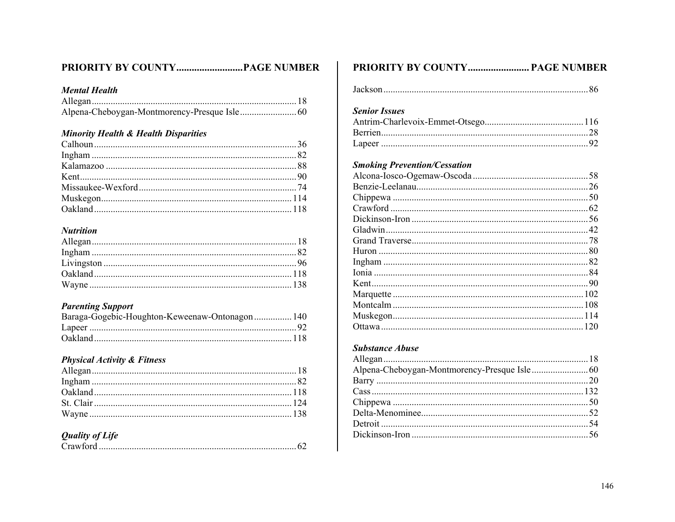# 

#### **Mental Health**

#### **Minority Health & Health Disparities**

### **Nutrition**

#### **Parenting Support**

| Baraga-Gogebic-Houghton-Keweenaw-Ontonagon 140 |  |
|------------------------------------------------|--|
|                                                |  |
|                                                |  |

# **Physical Activity & Fitness**

#### **Quality of Life**

## PRIORITY BY COUNTY.............................. PAGE NUMBER

|--|--|

### **Senior Issues**

#### **Smoking Prevention/Cessation**

#### **Substance Abuse**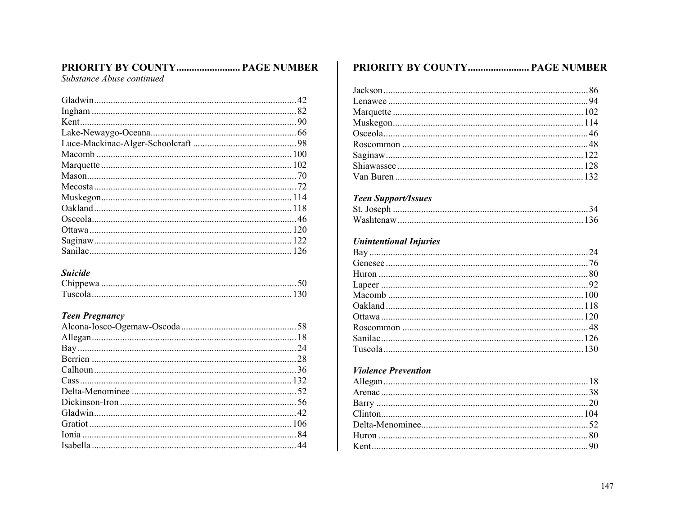# PRIORITY BY COUNTY.............................. PAGE NUMBER

Substance Abuse continued

### **Suicide**

### **Teen Pregnancy**

# PRIORITY BY COUNTY............................ PAGE NUMBER

## **Teen Support/Issues**

# **Unintentional Injuries**

# **Violence Prevention**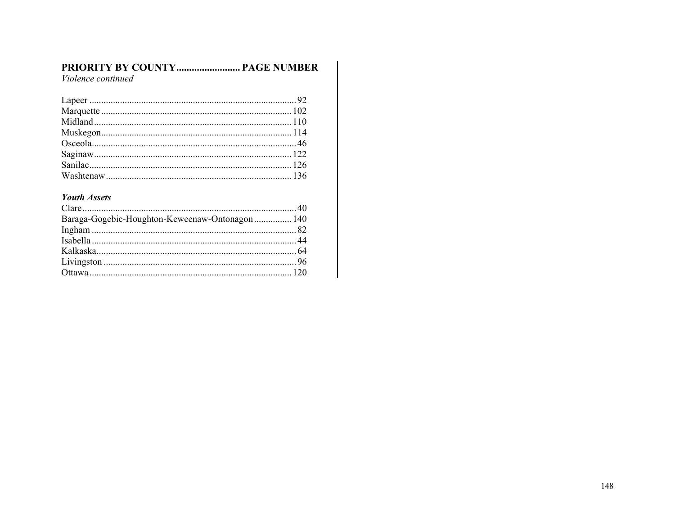# PRIORITY BY COUNTY................................ PAGE NUMBER

Violence continued

#### **Youth Assets**

| Baraga-Gogebic-Houghton-Keweenaw-Ontonagon 140 |  |
|------------------------------------------------|--|
|                                                |  |
|                                                |  |
|                                                |  |
|                                                |  |
|                                                |  |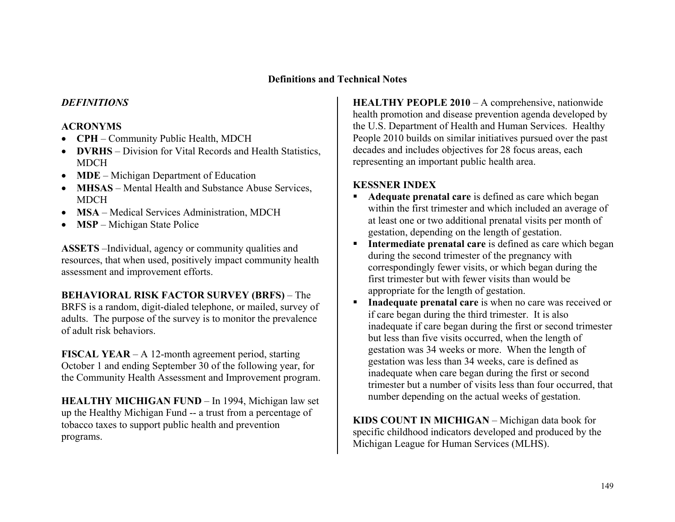### **Definitions and Technical Notes**

#### *DEFINITIONS*

#### **ACRONYMS**

- **CPH** Community Public Health, MDCH
- **DVRHS** Division for Vital Records and Health Statistics, **MDCH**
- **MDE** Michigan Department of Education
- **MHSAS** Mental Health and Substance Abuse Services, MDCH
- **MSA** Medical Services Administration, MDCH
- **MSP** Michigan State Police

**ASSETS** –Individual, agency or community qualities and resources, that when used, positively impact community health assessment and improvement efforts.

### **BEHAVIORAL RISK FACTOR SURVEY (BRFS)** – The BRFS is a random, digit-dialed telephone, or mailed, survey of adults. The purpose of the survey is to monitor the prevalence of adult risk behaviors.

**FISCAL YEAR** – A 12-month agreement period, starting October 1 and ending September 30 of the following year, for the Community Health Assessment and Improvement program.

**HEALTHY MICHIGAN FUND** – In 1994, Michigan law set up the Healthy Michigan Fund -- a trust from a percentage of tobacco taxes to support public health and prevention programs.

**HEALTHY PEOPLE 2010** – A comprehensive, nationwide health promotion and disease prevention agenda developed by the U.S. Department of Health and Human Services. Healthy People 2010 builds on similar initiatives pursued over the past decades and includes objectives for 28 focus areas, each representing an important public health area.

#### **KESSNER INDEX**

- **Adequate prenatal care** is defined as care which began within the first trimester and which included an average of at least one or two additional prenatal visits per month of gestation, depending on the length of gestation.
- **Intermediate prenatal care** is defined as care which began during the second trimester of the pregnancy with correspondingly fewer visits, or which began during the first trimester but with fewer visits than would be appropriate for the length of gestation.
- **Inadequate prenatal care** is when no care was received or if care began during the third trimester. It is also inadequate if care began during the first or second trimester but less than five visits occurred, when the length of gestation was 34 weeks or more. When the length of gestation was less than 34 weeks, care is defined as inadequate when care began during the first or second trimester but a number of visits less than four occurred, that number depending on the actual weeks of gestation.

**KIDS COUNT IN MICHIGAN** – Michigan data book for specific childhood indicators developed and produced by the Michigan League for Human Services (MLHS).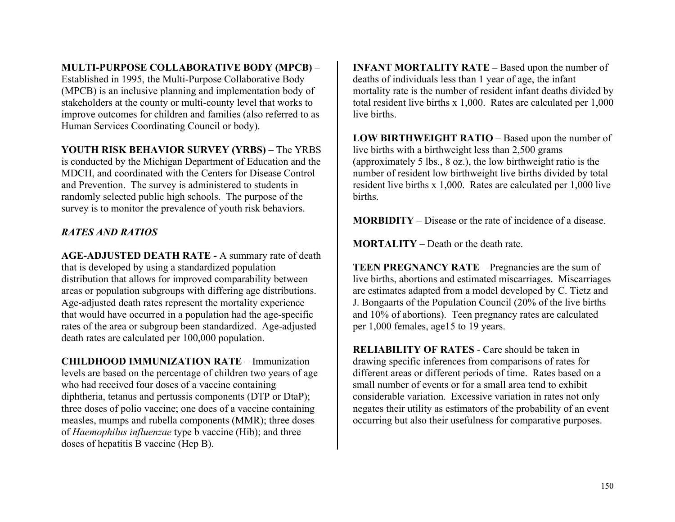# **MULTI-PURPOSE COLLABORATIVE BODY (MPCB)** –

Established in 1995, the Multi-Purpose Collaborative Body (MPCB) is an inclusive planning and implementation body of stakeholders at the county or multi-county level that works to improve outcomes for children and families (also referred to as Human Services Coordinating Council or body).

## **YOUTH RISK BEHAVIOR SURVEY (YRBS)** – The YRBS

is conducted by the Michigan Department of Education and the MDCH, and coordinated with the Centers for Disease Control and Prevention. The survey is administered to students in randomly selected public high schools. The purpose of the survey is to monitor the prevalence of youth risk behaviors.

# *RATES AND RATIOS*

**AGE-ADJUSTED DEATH RATE -** A summary rate of death that is developed by using a standardized population distribution that allows for improved comparability between areas or population subgroups with differing age distributions. Age-adjusted death rates represent the mortality experience that would have occurred in a population had the age-specific rates of the area or subgroup been standardized. Age-adjusted death rates are calculated per 100,000 population.

**CHILDHOOD IMMUNIZATION RATE** – Immunization levels are based on the percentage of children two years of age who had received four doses of a vaccine containing diphtheria, tetanus and pertussis components (DTP or DtaP); three doses of polio vaccine; one does of a vaccine containing measles, mumps and rubella components (MMR); three doses of *Haemophilus influenzae* type b vaccine (Hib); and three doses of hepatitis B vaccine (Hep B).

**INFANT MORTALITY RATE – Based upon the number of** deaths of individuals less than 1 year of age, the infant mortality rate is the number of resident infant deaths divided by total resident live births x 1,000. Rates are calculated per 1,000 live births.

**LOW BIRTHWEIGHT RATIO** – Based upon the number of live births with a birthweight less than 2,500 grams (approximately 5 lbs., 8 oz.), the low birthweight ratio is the number of resident low birthweight live births divided by total resident live births x 1,000. Rates are calculated per 1,000 live births.

**MORBIDITY** – Disease or the rate of incidence of a disease.

**MORTALITY** – Death or the death rate.

**TEEN PREGNANCY RATE** – Pregnancies are the sum of live births, abortions and estimated miscarriages. Miscarriages are estimates adapted from a model developed by C. Tietz and J. Bongaarts of the Population Council (20% of the live births and 10% of abortions). Teen pregnancy rates are calculated per 1,000 females, age15 to 19 years.

**RELIABILITY OF RATES** *-* Care should be taken in drawing specific inferences from comparisons of rates for different areas or different periods of time. Rates based on a small number of events or for a small area tend to exhibit considerable variation. Excessive variation in rates not only negates their utility as estimators of the probability of an event occurring but also their usefulness for comparative purposes.